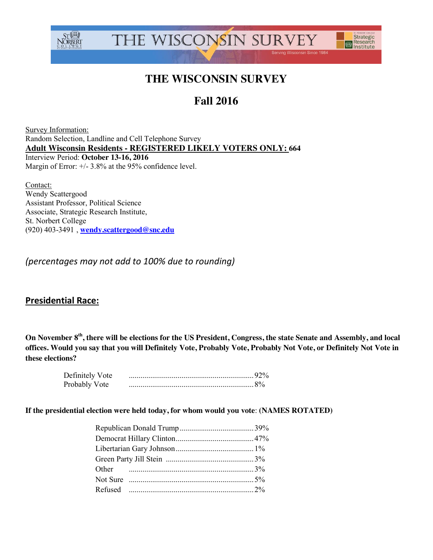



# **THE WISCONSIN SURVEY**

# **Fall 2016**

Survey Information: Random Selection, Landline and Cell Telephone Survey **Adult Wisconsin Residents - REGISTERED LIKELY VOTERS ONLY: 664** Interview Period: **October 13-16, 2016** Margin of Error:  $+/- 3.8\%$  at the 95% confidence level.

Contact: Wendy Scattergood Assistant Professor, Political Science Associate, Strategic Research Institute, St. Norbert College (920) 403-3491 , **[wendy.scattergood@snc.edu](mailto:wendy.scattergood@snc.edu)**

*(percentages may not add to 100% due to rounding)*

## **Presidential Race:**

**On November 8th, there will be elections for the US President, Congress, the state Senate and Assembly, and local offices. Would you say that you will Definitely Vote, Probably Vote, Probably Not Vote, or Definitely Not Vote in these elections?**

| Definitely Vote |  |
|-----------------|--|
| Probably Vote   |  |

**If the presidential election were held today, for whom would you vote**: **(NAMES ROTATED)**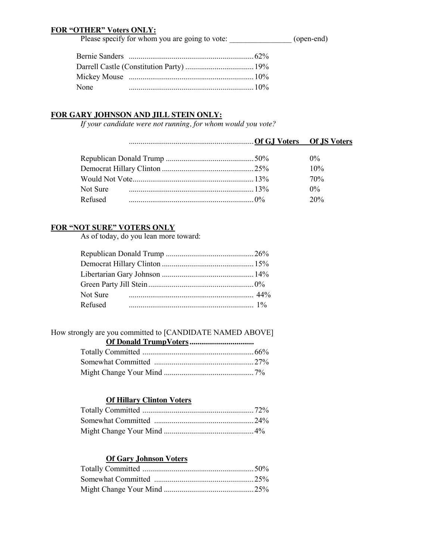## **FOR "OTHER" Voters ONLY:**

Please specify for whom you are going to vote: \_\_\_\_\_\_\_\_\_\_\_\_\_\_\_\_\_\_\_ (open-end)

| None |  |
|------|--|

## **FOR GARY JOHNSON AND JILL STEIN ONLY:**

*If your candidate were not running, for whom would you vote?*

|          | $0\%$ |
|----------|-------|
|          | 10%   |
|          | 70%   |
| Not Sure | $0\%$ |
| Refused  | 20%   |

## **FOR "NOT SURE" VOTERS ONLY**

As of today, do you lean more toward:

| Not Sure |  |
|----------|--|
| Refused  |  |

How strongly are you committed to [CANDIDATE NAMED ABOVE]

### **Of Hillary Clinton Voters**

## **Of Gary Johnson Voters**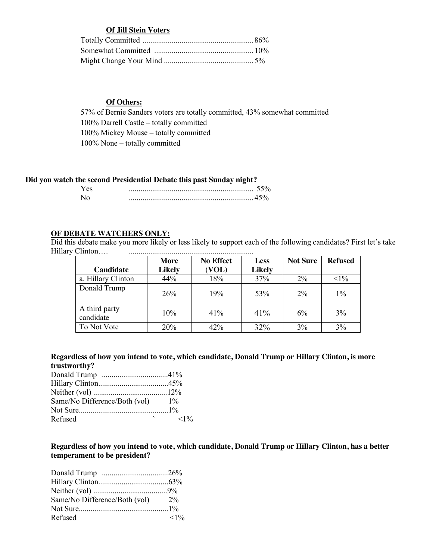### **Of Jill Stein Voters**

## **Of Others:**

57% of Bernie Sanders voters are totally committed, 43% somewhat committed 100% Darrell Castle – totally committed 100% Mickey Mouse – totally committed 100% None – totally committed

### **Did you watch the second Presidential Debate this past Sunday night?**

### **OF DEBATE WATCHERS ONLY:**

Did this debate make you more likely or less likely to support each of the following candidates? First let's take Hillary Clinton…. ................................................................

|                            | More          | <b>No Effect</b> | <b>Less</b>   | <b>Not Sure</b> | <b>Refused</b> |
|----------------------------|---------------|------------------|---------------|-----------------|----------------|
| Candidate                  | <b>Likely</b> | (VOL)            | <b>Likely</b> |                 |                |
| a. Hillary Clinton         | 44%           | 18%              | 37%           | $2\%$           | $<1\%$         |
| Donald Trump               | 26%           | 19%              | 53%           | $2\%$           | $1\%$          |
| A third party<br>candidate | 10%           | 41%              | 41%           | $6\%$           | 3%             |
| To Not Vote                | 20%           | 42%              | 32%           | 3%              | 3%             |

### **Regardless of how you intend to vote, which candidate, Donald Trump or Hillary Clinton, is more trustworthy?**

| Same/No Difference/Both (vol) | $1\%$  |
|-------------------------------|--------|
|                               |        |
| Refused                       | $<1\%$ |

**Regardless of how you intend to vote, which candidate, Donald Trump or Hillary Clinton, has a better temperament to be president?**

| Same/No Difference/Both (vol) | $2\%$ |
|-------------------------------|-------|
|                               |       |
| Refused                       | <1%   |